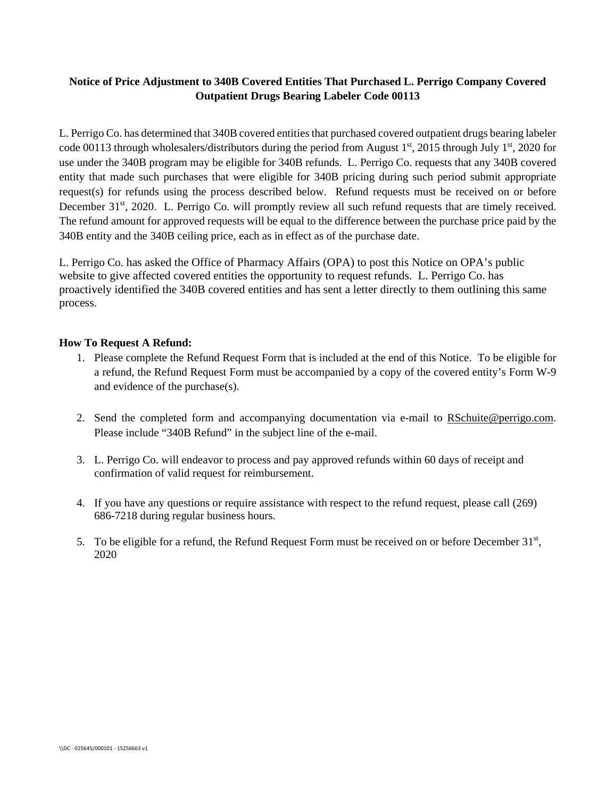## **Notice of Price Adjustment to 340B Covered Entities That Purchased L. Perrigo Company Covered Outpatient Drugs Bearing Labeler Code 00113**

L. Perrigo Co. has determined that 340B covered entities that purchased covered outpatient drugs bearing labeler code 00113 through wholesalers/distributors during the period from August  $1<sup>st</sup>$ , 2015 through July  $1<sup>st</sup>$ , 2020 for use under the 340B program may be eligible for 340B refunds. L. Perrigo Co. requests that any 340B covered entity that made such purchases that were eligible for 340B pricing during such period submit appropriate request(s) for refunds using the process described below. Refund requests must be received on or before December 31<sup>st</sup>, 2020. L. Perrigo Co. will promptly review all such refund requests that are timely received. The refund amount for approved requests will be equal to the difference between the purchase price paid by the 340B entity and the 340B ceiling price, each as in effect as of the purchase date.

L. Perrigo Co. has asked the Office of Pharmacy Affairs (OPA) to post this Notice on OPA's public website to give affected covered entities the opportunity to request refunds. L. Perrigo Co. has proactively identified the 340B covered entities and has sent a letter directly to them outlining this same process.

## **How To Request A Refund:**

- 1. Please complete the Refund Request Form that is included at the end of this Notice. To be eligible for a refund, the Refund Request Form must be accompanied by a copy of the covered entity's Form W-9 and evidence of the purchase(s).
- 2. Send the completed form and accompanying documentation via e-mail to RSchuite@perrigo.com. Please include "340B Refund" in the subject line of the e-mail.
- 3. L. Perrigo Co. will endeavor to process and pay approved refunds within 60 days of receipt and confirmation of valid request for reimbursement.
- 4. If you have any questions or require assistance with respect to the refund request, please call (269) 686-7218 during regular business hours.
- 5. To be eligible for a refund, the Refund Request Form must be received on or before December 31st, 2020